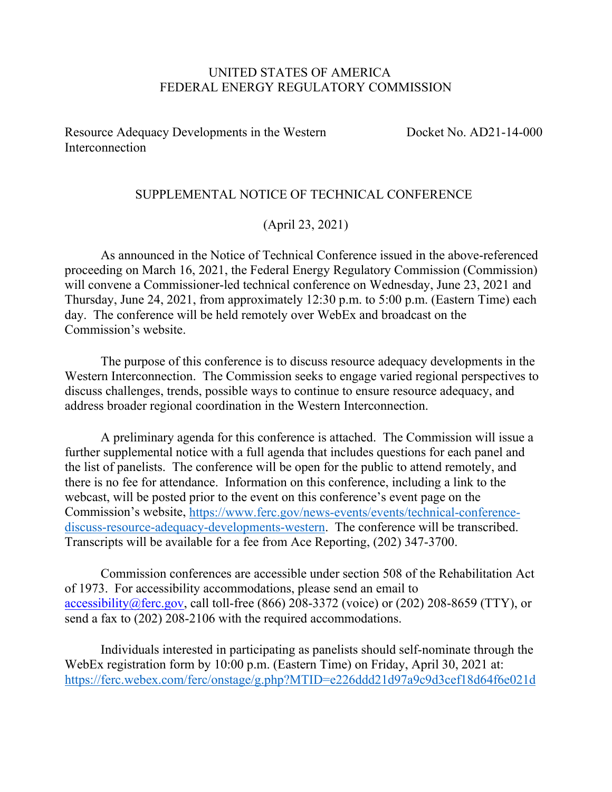#### UNITED STATES OF AMERICA FEDERAL ENERGY REGULATORY COMMISSION

Resource Adequacy Developments in the Western **Interconnection** 

Docket No. AD21-14-000

#### SUPPLEMENTAL NOTICE OF TECHNICAL CONFERENCE

#### (April 23, 2021)

As announced in the Notice of Technical Conference issued in the above-referenced proceeding on March 16, 2021, the Federal Energy Regulatory Commission (Commission) will convene a Commissioner-led technical conference on Wednesday, June 23, 2021 and Thursday, June 24, 2021, from approximately 12:30 p.m. to 5:00 p.m. (Eastern Time) each day. The conference will be held remotely over WebEx and broadcast on the Commission's website.

The purpose of this conference is to discuss resource adequacy developments in the Western Interconnection. The Commission seeks to engage varied regional perspectives to discuss challenges, trends, possible ways to continue to ensure resource adequacy, and address broader regional coordination in the Western Interconnection.

A preliminary agenda for this conference is attached. The Commission will issue a further supplemental notice with a full agenda that includes questions for each panel and the list of panelists. The conference will be open for the public to attend remotely, and there is no fee for attendance. Information on this conference, including a link to the webcast, will be posted prior to the event on this conference's event page on the Commission's website, [https://www.ferc.gov/news-events/events/technical-conference](https://www.ferc.gov/news-events/events/technical-conference-discuss-resource-adequacy-developments-western)[discuss-resource-adequacy-developments-western.](https://www.ferc.gov/news-events/events/technical-conference-discuss-resource-adequacy-developments-western) The conference will be transcribed. Transcripts will be available for a fee from Ace Reporting, (202) 347-3700.

Commission conferences are accessible under section 508 of the Rehabilitation Act of 1973. For accessibility accommodations, please send an email to [accessibility@ferc.gov,](mailto:accessibility@ferc.gov) call toll-free (866) 208-3372 (voice) or (202) 208-8659 (TTY), or send a fax to (202) 208-2106 with the required accommodations.

Individuals interested in participating as panelists should self-nominate through the WebEx registration form by 10:00 p.m. (Eastern Time) on Friday, April 30, 2021 at: <https://ferc.webex.com/ferc/onstage/g.php?MTID=e226ddd21d97a9c9d3cef18d64f6e021d>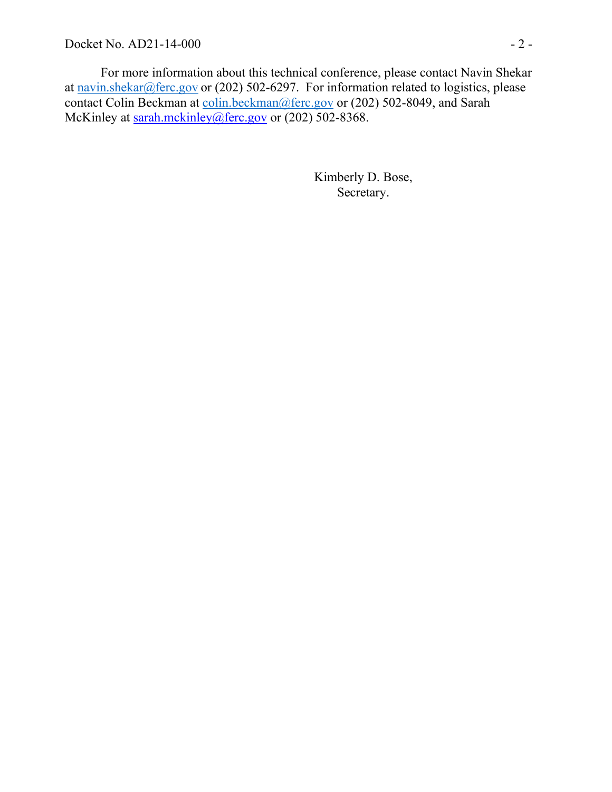For more information about this technical conference, please contact Navin Shekar at [navin.shekar@ferc.gov](mailto:navin.shekar@ferc.gov) or (202) 502-6297. For information related to logistics, please contact Colin Beckman at [colin.beckman@ferc.gov](mailto:colin.beckman@ferc.gov) or (202) 502-8049, and Sarah McKinley at [sarah.mckinley@ferc.gov](mailto:sarah.mckinley@ferc.gov) or (202) 502-8368.

> Kimberly D. Bose, Secretary.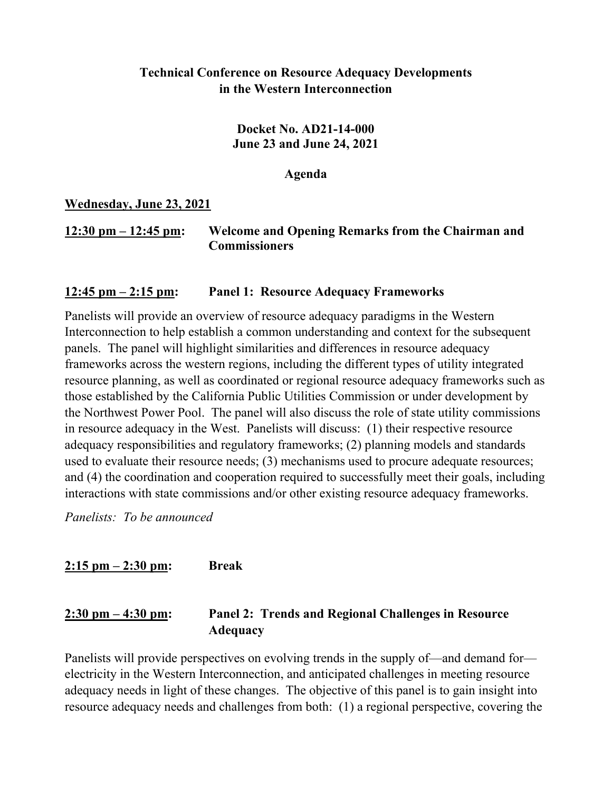### **Technical Conference on Resource Adequacy Developments in the Western Interconnection**

**Docket No. AD21-14-000 June 23 and June 24, 2021**

**Agenda**

**Wednesday, June 23, 2021**

### **12:30 pm – 12:45 pm: Welcome and Opening Remarks from the Chairman and Commissioners**

### **12:45 pm – 2:15 pm: Panel 1: Resource Adequacy Frameworks**

Panelists will provide an overview of resource adequacy paradigms in the Western Interconnection to help establish a common understanding and context for the subsequent panels. The panel will highlight similarities and differences in resource adequacy frameworks across the western regions, including the different types of utility integrated resource planning, as well as coordinated or regional resource adequacy frameworks such as those established by the California Public Utilities Commission or under development by the Northwest Power Pool. The panel will also discuss the role of state utility commissions in resource adequacy in the West. Panelists will discuss: (1) their respective resource adequacy responsibilities and regulatory frameworks; (2) planning models and standards used to evaluate their resource needs; (3) mechanisms used to procure adequate resources; and (4) the coordination and cooperation required to successfully meet their goals, including interactions with state commissions and/or other existing resource adequacy frameworks.

*Panelists: To be announced*

**2:15 pm – 2:30 pm: Break**

## **2:30 pm – 4:30 pm: Panel 2: Trends and Regional Challenges in Resource Adequacy**

Panelists will provide perspectives on evolving trends in the supply of—and demand for electricity in the Western Interconnection, and anticipated challenges in meeting resource adequacy needs in light of these changes. The objective of this panel is to gain insight into resource adequacy needs and challenges from both: (1) a regional perspective, covering the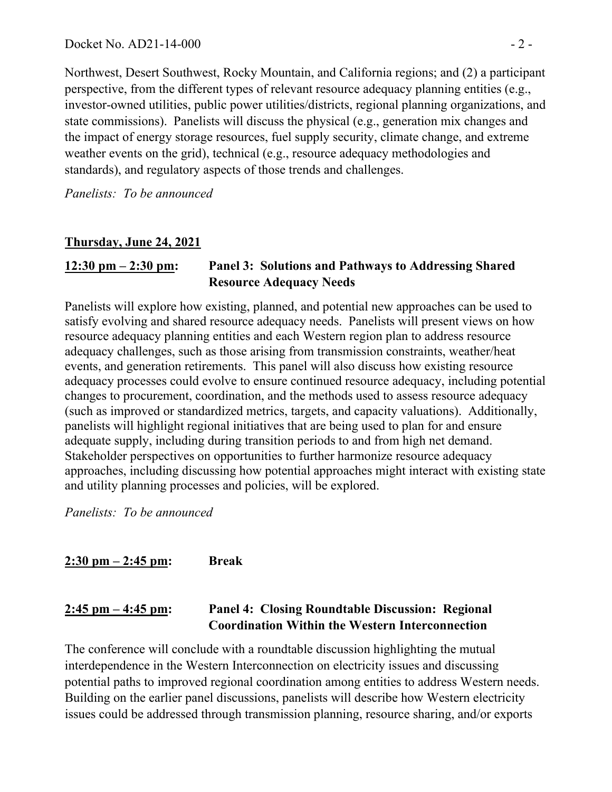Northwest, Desert Southwest, Rocky Mountain, and California regions; and (2) a participant perspective, from the different types of relevant resource adequacy planning entities (e.g., investor-owned utilities, public power utilities/districts, regional planning organizations, and state commissions). Panelists will discuss the physical (e.g., generation mix changes and the impact of energy storage resources, fuel supply security, climate change, and extreme weather events on the grid), technical (e.g., resource adequacy methodologies and standards), and regulatory aspects of those trends and challenges.

*Panelists: To be announced*

# **Thursday, June 24, 2021**

# **12:30 pm – 2:30 pm: Panel 3: Solutions and Pathways to Addressing Shared Resource Adequacy Needs**

Panelists will explore how existing, planned, and potential new approaches can be used to satisfy evolving and shared resource adequacy needs. Panelists will present views on how resource adequacy planning entities and each Western region plan to address resource adequacy challenges, such as those arising from transmission constraints, weather/heat events, and generation retirements. This panel will also discuss how existing resource adequacy processes could evolve to ensure continued resource adequacy, including potential changes to procurement, coordination, and the methods used to assess resource adequacy (such as improved or standardized metrics, targets, and capacity valuations). Additionally, panelists will highlight regional initiatives that are being used to plan for and ensure adequate supply, including during transition periods to and from high net demand. Stakeholder perspectives on opportunities to further harmonize resource adequacy approaches, including discussing how potential approaches might interact with existing state and utility planning processes and policies, will be explored.

*Panelists: To be announced*

**2:30 pm – 2:45 pm: Break**

## **2:45 pm – 4:45 pm: Panel 4: Closing Roundtable Discussion: Regional Coordination Within the Western Interconnection**

The conference will conclude with a roundtable discussion highlighting the mutual interdependence in the Western Interconnection on electricity issues and discussing potential paths to improved regional coordination among entities to address Western needs. Building on the earlier panel discussions, panelists will describe how Western electricity issues could be addressed through transmission planning, resource sharing, and/or exports